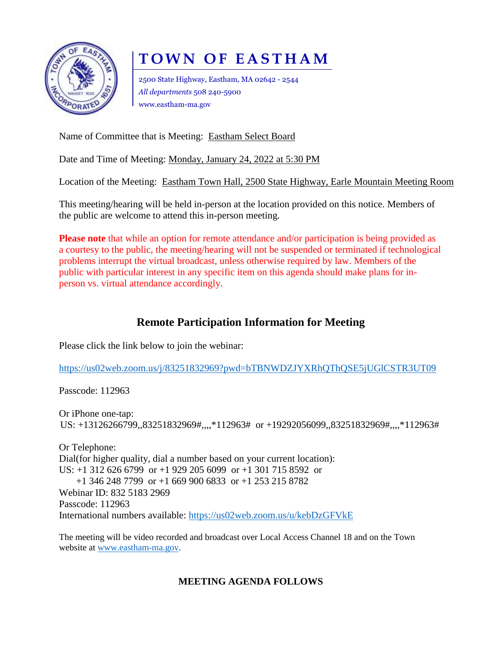

# **T O W N O F E A S T H A M**

2500 State Highway, Eastham, MA 02642 - 2544 *All departments* 508 240-5900 www.eastham-ma.gov

Name of Committee that is Meeting: Eastham Select Board

Date and Time of Meeting: Monday, January 24, 2022 at 5:30 PM

Location of the Meeting: Eastham Town Hall, 2500 State Highway, Earle Mountain Meeting Room

This meeting/hearing will be held in-person at the location provided on this notice. Members of the public are welcome to attend this in-person meeting.

**Please note** that while an option for remote attendance and/or participation is being provided as a courtesy to the public, the meeting/hearing will not be suspended or terminated if technological problems interrupt the virtual broadcast, unless otherwise required by law. Members of the public with particular interest in any specific item on this agenda should make plans for inperson vs. virtual attendance accordingly.

## **Remote Participation Information for Meeting**

Please click the link below to join the webinar:

<https://us02web.zoom.us/j/83251832969?pwd=bTBNWDZJYXRhQThQSE5jUGlCSTR3UT09>

Passcode: 112963

Or iPhone one-tap: US: +13126266799,,83251832969#,,,,\*112963# or +19292056099,,83251832969#,,,,\*112963#

Or Telephone: Dial(for higher quality, dial a number based on your current location): US: +1 312 626 6799 or +1 929 205 6099 or +1 301 715 8592 or +1 346 248 7799 or +1 669 900 6833 or +1 253 215 8782 Webinar ID: 832 5183 2969 Passcode: 112963 International numbers available:<https://us02web.zoom.us/u/kebDzGFVkE>

The meeting will be video recorded and broadcast over Local Access Channel 18 and on the Town website at [www.eastham-ma.gov.](http://www.eastham-ma.gov/)

### **MEETING AGENDA FOLLOWS**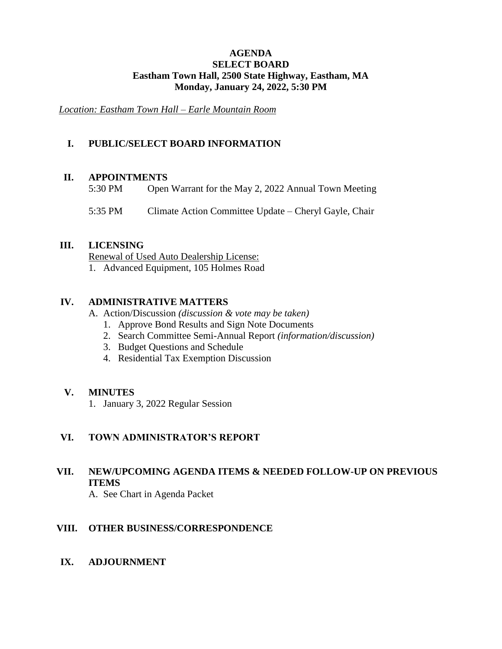#### **AGENDA SELECT BOARD Eastham Town Hall, 2500 State Highway, Eastham, MA Monday, January 24, 2022, 5:30 PM**

*Location: Eastham Town Hall – Earle Mountain Room*

#### **I. PUBLIC/SELECT BOARD INFORMATION**

#### **II. APPOINTMENTS**

- 5:30 PM Open Warrant for the May 2, 2022 Annual Town Meeting
- 5:35 PM Climate Action Committee Update Cheryl Gayle, Chair

#### **III. LICENSING**

Renewal of Used Auto Dealership License: 1. Advanced Equipment, 105 Holmes Road

#### **IV. ADMINISTRATIVE MATTERS**

- A. Action/Discussion *(discussion & vote may be taken)*
	- 1. Approve Bond Results and Sign Note Documents
	- 2. Search Committee Semi-Annual Report *(information/discussion)*
	- 3. Budget Questions and Schedule
	- 4. Residential Tax Exemption Discussion

#### **V. MINUTES**

1. January 3, 2022 Regular Session

#### **VI. TOWN ADMINISTRATOR'S REPORT**

## **VII. NEW/UPCOMING AGENDA ITEMS & NEEDED FOLLOW-UP ON PREVIOUS ITEMS**

A. See Chart in Agenda Packet

#### **VIII. OTHER BUSINESS/CORRESPONDENCE**

#### **IX. ADJOURNMENT**